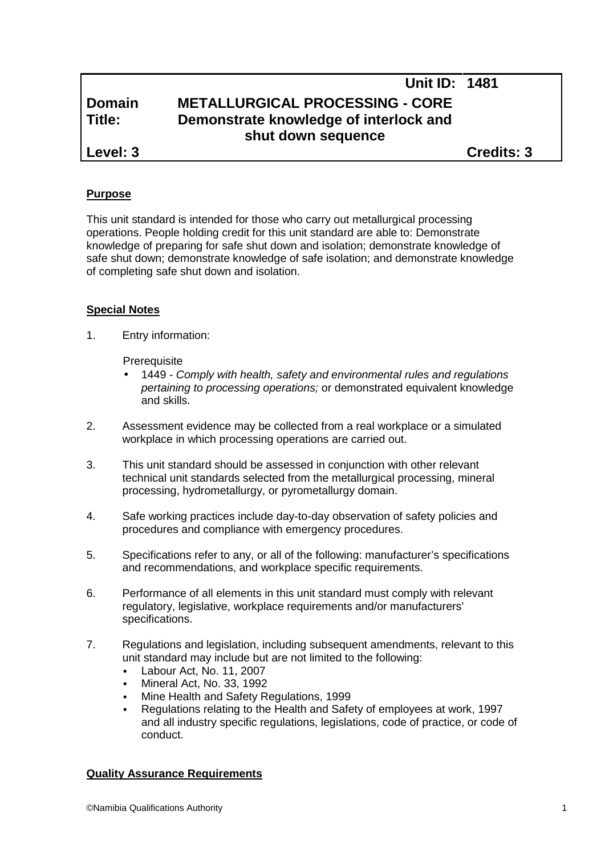# **Unit ID: 1481 Domain METALLURGICAL PROCESSING - CORE Title: Demonstrate knowledge of interlock and shut down sequence Level: 3 Credits: 3**

## **Purpose**

This unit standard is intended for those who carry out metallurgical processing operations. People holding credit for this unit standard are able to: Demonstrate knowledge of preparing for safe shut down and isolation; demonstrate knowledge of safe shut down; demonstrate knowledge of safe isolation; and demonstrate knowledge of completing safe shut down and isolation.

#### **Special Notes**

1. Entry information:

**Prerequisite** 

- 1449 *- Comply with health, safety and environmental rules and regulations pertaining to processing operations;* or demonstrated equivalent knowledge and skills.
- 2. Assessment evidence may be collected from a real workplace or a simulated workplace in which processing operations are carried out.
- 3. This unit standard should be assessed in conjunction with other relevant technical unit standards selected from the metallurgical processing, mineral processing, hydrometallurgy, or pyrometallurgy domain.
- 4. Safe working practices include day-to-day observation of safety policies and procedures and compliance with emergency procedures.
- 5. Specifications refer to any, or all of the following: manufacturer's specifications and recommendations, and workplace specific requirements.
- 6. Performance of all elements in this unit standard must comply with relevant regulatory, legislative, workplace requirements and/or manufacturers' specifications.
- 7. Regulations and legislation, including subsequent amendments, relevant to this unit standard may include but are not limited to the following:
	- Labour Act, No. 11, 2007
	- Mineral Act, No. 33, 1992
	- Mine Health and Safety Regulations, 1999
	- Regulations relating to the Health and Safety of employees at work, 1997 and all industry specific regulations, legislations, code of practice, or code of conduct.

#### **Quality Assurance Requirements**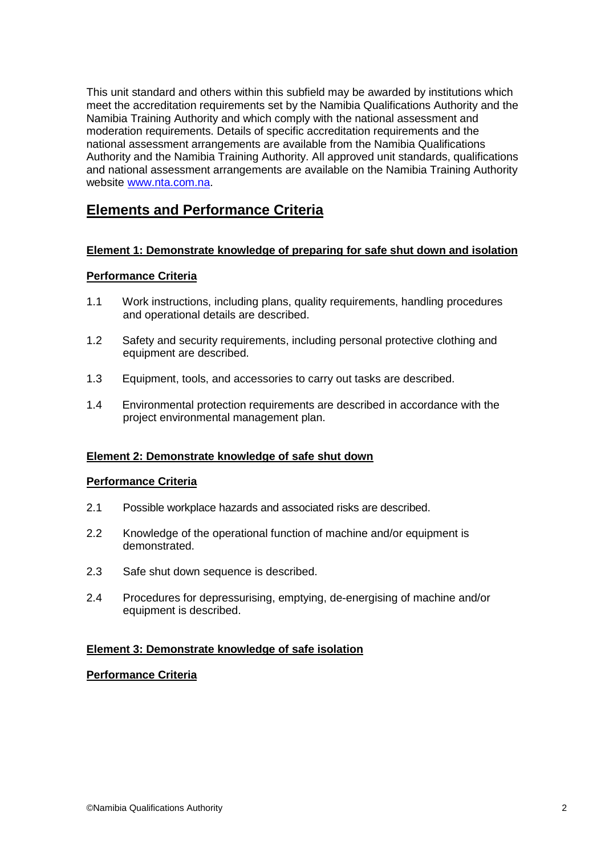This unit standard and others within this subfield may be awarded by institutions which meet the accreditation requirements set by the Namibia Qualifications Authority and the Namibia Training Authority and which comply with the national assessment and moderation requirements. Details of specific accreditation requirements and the national assessment arrangements are available from the Namibia Qualifications Authority and the Namibia Training Authority. All approved unit standards, qualifications and national assessment arrangements are available on the Namibia Training Authority website www.nta.com.na.

# **Elements and Performance Criteria**

### **Element 1: Demonstrate knowledge of preparing forsafe shut down and isolation**

## **Performance Criteria**

- 1.1 Work instructions, including plans, quality requirements, handling procedures and operational details are described.
- 1.2 Safety and security requirements, including personal protective clothing and equipment are described.
- 1.3 Equipment, tools, and accessories to carry out tasks are described.
- 1.4 Environmental protection requirements are described in accordance with the project environmental management plan.

### **Element 2: Demonstrate knowledge of safe shut down**

### **Performance Criteria**

- 2.1 Possible workplace hazards and associated risks are described.
- 2.2 Knowledge of the operational function of machine and/or equipment is demonstrated.
- 2.3 Safe shut down sequence is described.
- 2.4 Procedures for depressurising, emptying, de-energising of machine and/or equipment is described.

### **Element 3: Demonstrate knowledge of safe isolation**

### **Performance Criteria**